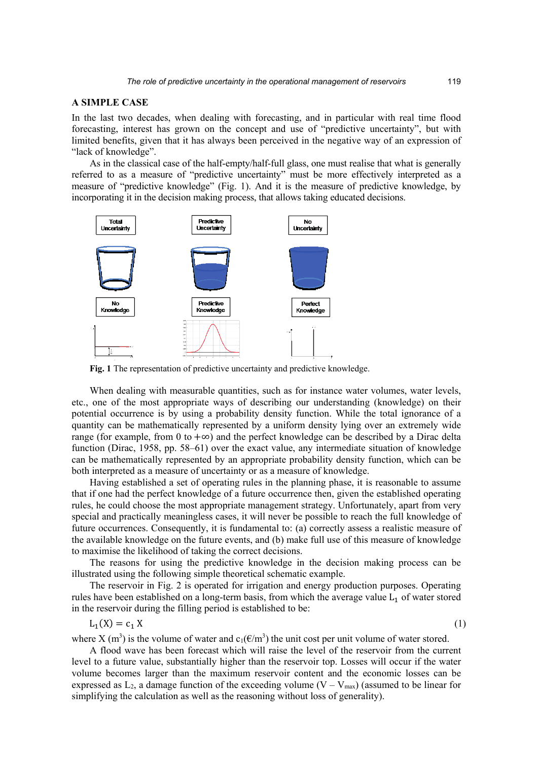## **A SIMPLE CASE**

In the last two decades, when dealing with forecasting, and in particular with real time flood forecasting, interest has grown on the concept and use of "predictive uncertainty", but with limited benefits, given that it has always been perceived in the negative way of an expression of "lack of knowledge".

As in the classical case of the half-empty/half-full glass, one must realise that what is generally referred to as a measure of "predictive uncertainty" must be more effectively interpreted as a measure of "predictive knowledge" (Fig. 1). And it is the measure of predictive knowledge, by incorporating it in the decision making process, that allows taking educated decisions.



**Fig. 1** The representation of predictive uncertainty and predictive knowledge.

When dealing with measurable quantities, such as for instance water volumes, water levels, etc., one of the most appropriate ways of describing our understanding (knowledge) on their potential occurrence is by using a probability density function. While the total ignorance of a quantity can be mathematically represented by a uniform density lying over an extremely wide range (for example, from 0 to + $\infty$ ) and the perfect knowledge can be described by a Dirac delta function (Dirac, 1958, pp. 58–61) over the exact value, any intermediate situation of knowledge can be mathematically represented by an appropriate probability density function, which can be both interpreted as a measure of uncertainty or as a measure of knowledge.

Having established a set of operating rules in the planning phase, it is reasonable to assume that if one had the perfect knowledge of a future occurrence then, given the established operating rules, he could choose the most appropriate management strategy. Unfortunately, apart from very special and practically meaningless cases, it will never be possible to reach the full knowledge of future occurrences. Consequently, it is fundamental to: (a) correctly assess a realistic measure of the available knowledge on the future events, and (b) make full use of this measure of knowledge to maximise the likelihood of taking the correct decisions.

The reasons for using the predictive knowledge in the decision making process can be illustrated using the following simple theoretical schematic example.

The reservoir in Fig. 2 is operated for irrigation and energy production purposes. Operating rules have been established on a long-term basis, from which the average value  $L_1$  of water stored in the reservoir during the filling period is established to be:

$$
L_1(X) = c_1 X \tag{1}
$$

where X (m<sup>3</sup>) is the volume of water and  $c_1(\text{\ensuremath{\mathbb{E}}}/\text{\ensuremath{m}}^3)$  the unit cost per unit volume of water stored.

A flood wave has been forecast which will raise the level of the reservoir from the current level to a future value, substantially higher than the reservoir top. Losses will occur if the water volume becomes larger than the maximum reservoir content and the economic losses can be expressed as  $L_2$ , a damage function of the exceeding volume (V – V<sub>max</sub>) (assumed to be linear for simplifying the calculation as well as the reasoning without loss of generality).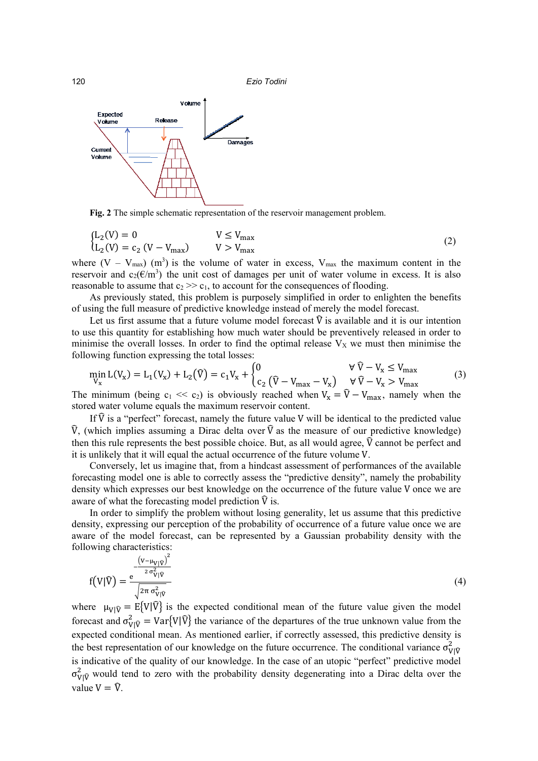120 *Ezio Todini*



**Fig. 2** The simple schematic representation of the reservoir management problem.

$$
\begin{cases}\nL_2(V) = 0 & V \le V_{\text{max}} \\
L_2(V) = c_2 (V - V_{\text{max}}) & V > V_{\text{max}}\n\end{cases}
$$
\n(2)

where  $(V - V_{max})$  (m<sup>3</sup>) is the volume of water in excess,  $V_{max}$  the maximum content in the reservoir and  $c_2(\theta/m^3)$  the unit cost of damages per unit of water volume in excess. It is also reasonable to assume that  $c_2 \gg c_1$ , to account for the consequences of flooding.

As previously stated, this problem is purposely simplified in order to enlighten the benefits of using the full measure of predictive knowledge instead of merely the model forecast.

Let us first assume that a future volume model forecast  $\hat{V}$  is available and it is our intention to use this quantity for establishing how much water should be preventively released in order to minimise the overall losses. In order to find the optimal release  $V_X$  we must then minimise the following function expressing the total losses:

$$
\min_{V_x} L(V_x) = L_1(V_x) + L_2(\hat{V}) = c_1 V_x + \begin{cases} 0 & \forall \hat{V} - V_x \le V_{\text{max}} \\ c_2 (\hat{V} - V_{\text{max}} - V_x) & \forall \hat{V} - V_x > V_{\text{max}} \end{cases}
$$
(3)

The minimum (being c<sub>1</sub> << c<sub>2</sub>) is obviously reached when  $V_x = V - V_{max}$ , namely when the stored water volume equals the maximum reservoir content.

If  $\hat{V}$  is a "perfect" forecast, namely the future value V will be identical to the predicted value  $\hat{V}$ , (which implies assuming a Dirac delta over  $\hat{V}$  as the measure of our predictive knowledge) then this rule represents the best possible choice. But, as all would agree,  $\hat{V}$  cannot be perfect and it is unlikely that it will equal the actual occurrence of the future volume V.

Conversely, let us imagine that, from a hindcast assessment of performances of the available forecasting model one is able to correctly assess the "predictive density", namely the probability density which expresses our best knowledge on the occurrence of the future value V once we are aware of what the forecasting model prediction  $\hat{V}$  is.

In order to simplify the problem without losing generality, let us assume that this predictive density, expressing our perception of the probability of occurrence of a future value once we are aware of the model forecast, can be represented by a Gaussian probability density with the following characteristics:

$$
f(V|\hat{V}) = \frac{e^{-\frac{\left(V - \mu_{V|\hat{V}}\right)^2}{2\sigma_{V|\hat{V}}^2}}}{\sqrt{2\pi \sigma_{V|\hat{V}}^2}}
$$
(4)

where  $\mu_{V|\hat{V}} = E{V|\hat{V}}$  is the expected conditional mean of the future value given the model forecast and  $\sigma_{V|\hat{V}}^2 = \text{Var}\{V|\hat{V}\}\$  the variance of the departures of the true unknown value from the expected conditional mean. As mentioned earlier, if correctly assessed, this predictive density is the best representation of our knowledge on the future occurrence. The conditional variance  $\sigma_{\text{VI}}^2$ is indicative of the quality of our knowledge. In the case of an utopic "perfect" predictive model  $\sigma_{V|\hat{V}}^2$  would tend to zero with the probability density degenerating into a Dirac delta over the value  $V = \hat{V}$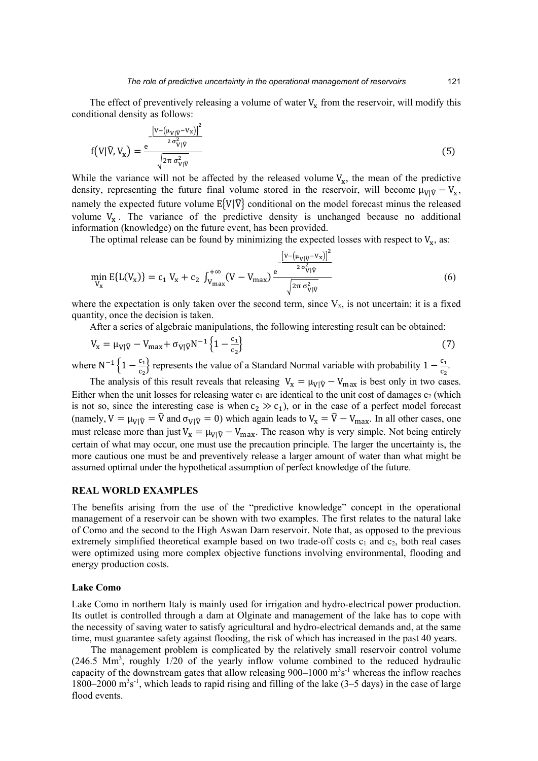The effect of preventively releasing a volume of water  $V_x$  from the reservoir, will modify this conditional density as follows:

$$
f(V|\widehat{V}, V_x) = \frac{e^{-\frac{\left[V - \left(\mu_{V|\widehat{V}} - V_x\right)\right]^2}{2\sigma_{V|\widehat{V}}^2}}}{\sqrt{2\pi\sigma_{V|\widehat{V}}^2}}
$$
(5)

While the variance will not be affected by the released volume  $V_x$ , the mean of the predictive density, representing the future final volume stored in the reservoir, will become  $\mu_{V|\hat{V}} - V_x$ , namely the expected future volume  $E{V|\hat{V}}$  conditional on the model forecast minus the released volume  $V_x$ . The variance of the predictive density is unchanged because no additional information (knowledge) on the future event, has been provided.

The optimal release can be found by minimizing the expected losses with respect to  $V_x$ , as:

$$
\min_{V_x} E\{L(V_x)\} = c_1 V_x + c_2 \int_{V_{\text{max}}}^{+\infty} (V - V_{\text{max}}) \frac{e^{-\frac{\left[V - \left(\mu_{V|\hat{V}} - V_x\right)\right]^2}{2 \sigma_{V|\hat{V}}^2}}}{\sqrt{2 \pi \sigma_{V|\hat{V}}^2}}
$$
(6)

where the expectation is only taken over the second term, since  $V_{x}$ , is not uncertain: it is a fixed quantity, once the decision is taken.

After a series of algebraic manipulations, the following interesting result can be obtained:

$$
V_{x} = \mu_{V|\hat{V}} - V_{\text{max}} + \sigma_{V|\hat{V}} N^{-1} \left\{ 1 - \frac{c_{1}}{c_{2}} \right\}
$$
 (7)

where N<sup>-1</sup> {1 -  $\frac{c_1}{c_2}$ } represents the value of a Standard Normal variable with probability 1 -  $\frac{c_1}{c_2}$ .

The analysis of this result reveals that releasing  $V_x = \mu_{V|\hat{V}} - V_{max}$  is best only in two cases. Either when the unit losses for releasing water  $c_1$  are identical to the unit cost of damages  $c_2$  (which is not so, since the interesting case is when  $c_2 \gg c_1$ ), or in the case of a perfect model forecast (namely,  $V = \mu_{V|\hat{V}} = \hat{V}$  and  $\sigma_{V|\hat{V}} = 0$ ) which again leads to  $V_x = \hat{V} - V_{\text{max}}$ . In all other cases, one must release more than just  $V_x = \mu_{V|\hat{V}} - V_{max}$ . The reason why is very simple. Not being entirely certain of what may occur, one must use the precaution principle. The larger the uncertainty is, the more cautious one must be and preventively release a larger amount of water than what might be assumed optimal under the hypothetical assumption of perfect knowledge of the future.

# **REAL WORLD EXAMPLES**

The benefits arising from the use of the "predictive knowledge" concept in the operational management of a reservoir can be shown with two examples. The first relates to the natural lake of Como and the second to the High Aswan Dam reservoir. Note that, as opposed to the previous extremely simplified theoretical example based on two trade-off costs  $c_1$  and  $c_2$ , both real cases were optimized using more complex objective functions involving environmental, flooding and energy production costs.

### **Lake Como**

Lake Como in northern Italy is mainly used for irrigation and hydro-electrical power production. Its outlet is controlled through a dam at Olginate and management of the lake has to cope with the necessity of saving water to satisfy agricultural and hydro-electrical demands and, at the same time, must guarantee safety against flooding, the risk of which has increased in the past 40 years.

The management problem is complicated by the relatively small reservoir control volume  $(246.5 \text{ Mm}^3, \text{roughly } 1/20 \text{ of the yearly inflow volume combined to the reduced hydraulic})$ capacity of the downstream gates that allow releasing  $900-1000$  m<sup>3</sup>s<sup>-1</sup> whereas the inflow reaches 1800–2000  $\mathrm{m}^3\mathrm{s}^{-1}$ , which leads to rapid rising and filling of the lake (3–5 days) in the case of large flood events.